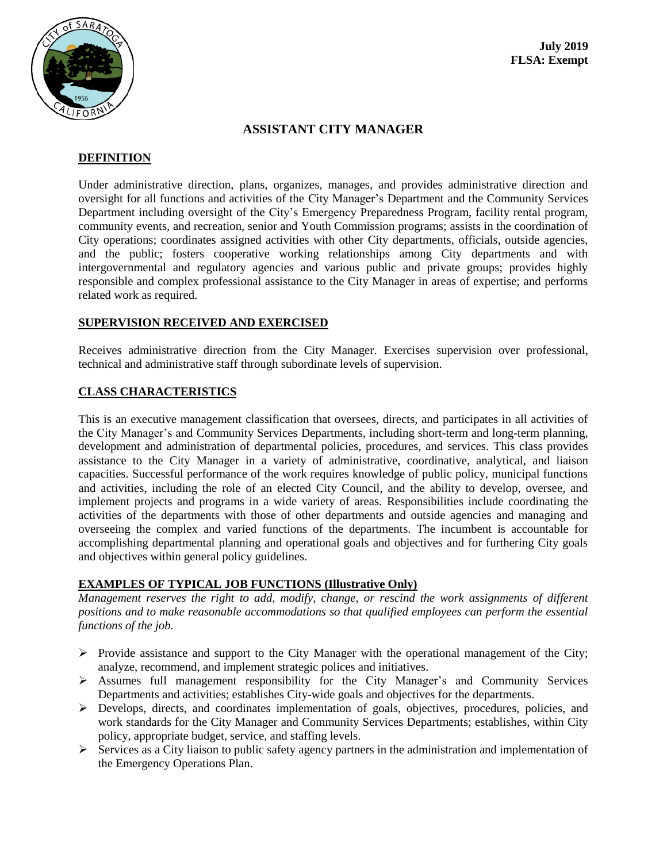

# **ASSISTANT CITY MANAGER**

#### **DEFINITION**

Under administrative direction, plans, organizes, manages, and provides administrative direction and oversight for all functions and activities of the City Manager's Department and the Community Services Department including oversight of the City's Emergency Preparedness Program, facility rental program, community events, and recreation, senior and Youth Commission programs; assists in the coordination of City operations; coordinates assigned activities with other City departments, officials, outside agencies, and the public; fosters cooperative working relationships among City departments and with intergovernmental and regulatory agencies and various public and private groups; provides highly responsible and complex professional assistance to the City Manager in areas of expertise; and performs related work as required.

## **SUPERVISION RECEIVED AND EXERCISED**

Receives administrative direction from the City Manager. Exercises supervision over professional, technical and administrative staff through subordinate levels of supervision.

## **CLASS CHARACTERISTICS**

This is an executive management classification that oversees, directs, and participates in all activities of the City Manager's and Community Services Departments, including short-term and long-term planning, development and administration of departmental policies, procedures, and services. This class provides assistance to the City Manager in a variety of administrative, coordinative, analytical, and liaison capacities. Successful performance of the work requires knowledge of public policy, municipal functions and activities, including the role of an elected City Council, and the ability to develop, oversee, and implement projects and programs in a wide variety of areas. Responsibilities include coordinating the activities of the departments with those of other departments and outside agencies and managing and overseeing the complex and varied functions of the departments. The incumbent is accountable for accomplishing departmental planning and operational goals and objectives and for furthering City goals and objectives within general policy guidelines.

## **EXAMPLES OF TYPICAL JOB FUNCTIONS (Illustrative Only)**

*Management reserves the right to add, modify, change, or rescind the work assignments of different positions and to make reasonable accommodations so that qualified employees can perform the essential functions of the job.*

- $\triangleright$  Provide assistance and support to the City Manager with the operational management of the City; analyze, recommend, and implement strategic polices and initiatives.
- $\triangleright$  Assumes full management responsibility for the City Manager's and Community Services Departments and activities; establishes City-wide goals and objectives for the departments.
- Develops, directs, and coordinates implementation of goals, objectives, procedures, policies, and work standards for the City Manager and Community Services Departments; establishes, within City policy, appropriate budget, service, and staffing levels.
- $\triangleright$  Services as a City liaison to public safety agency partners in the administration and implementation of the Emergency Operations Plan.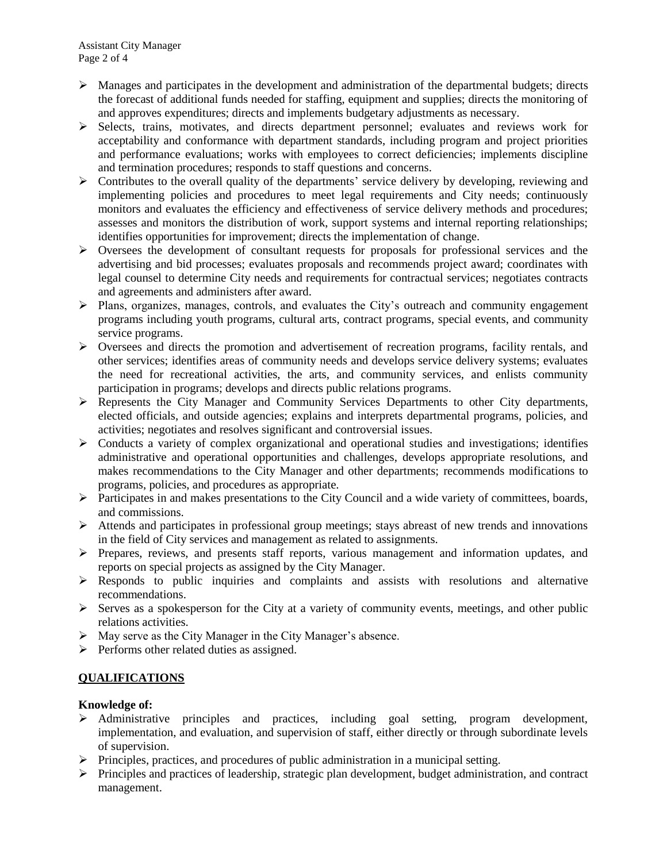- $\triangleright$  Manages and participates in the development and administration of the departmental budgets; directs the forecast of additional funds needed for staffing, equipment and supplies; directs the monitoring of and approves expenditures; directs and implements budgetary adjustments as necessary.
- $\triangleright$  Selects, trains, motivates, and directs department personnel; evaluates and reviews work for acceptability and conformance with department standards, including program and project priorities and performance evaluations; works with employees to correct deficiencies; implements discipline and termination procedures; responds to staff questions and concerns.
- $\triangleright$  Contributes to the overall quality of the departments' service delivery by developing, reviewing and implementing policies and procedures to meet legal requirements and City needs; continuously monitors and evaluates the efficiency and effectiveness of service delivery methods and procedures; assesses and monitors the distribution of work, support systems and internal reporting relationships; identifies opportunities for improvement; directs the implementation of change.
- $\triangleright$  Oversees the development of consultant requests for proposals for professional services and the advertising and bid processes; evaluates proposals and recommends project award; coordinates with legal counsel to determine City needs and requirements for contractual services; negotiates contracts and agreements and administers after award.
- Plans, organizes, manages, controls, and evaluates the City's outreach and community engagement programs including youth programs, cultural arts, contract programs, special events, and community service programs.
- $\triangleright$  Oversees and directs the promotion and advertisement of recreation programs, facility rentals, and other services; identifies areas of community needs and develops service delivery systems; evaluates the need for recreational activities, the arts, and community services, and enlists community participation in programs; develops and directs public relations programs.
- Represents the City Manager and Community Services Departments to other City departments, elected officials, and outside agencies; explains and interprets departmental programs, policies, and activities; negotiates and resolves significant and controversial issues.
- $\triangleright$  Conducts a variety of complex organizational and operational studies and investigations; identifies administrative and operational opportunities and challenges, develops appropriate resolutions, and makes recommendations to the City Manager and other departments; recommends modifications to programs, policies, and procedures as appropriate.
- $\triangleright$  Participates in and makes presentations to the City Council and a wide variety of committees, boards, and commissions.
- Attends and participates in professional group meetings; stays abreast of new trends and innovations in the field of City services and management as related to assignments.
- $\triangleright$  Prepares, reviews, and presents staff reports, various management and information updates, and reports on special projects as assigned by the City Manager.
- $\triangleright$  Responds to public inquiries and complaints and assists with resolutions and alternative recommendations.
- $\triangleright$  Serves as a spokesperson for the City at a variety of community events, meetings, and other public relations activities.
- $\triangleright$  May serve as the City Manager in the City Manager's absence.
- $\triangleright$  Performs other related duties as assigned.

# **QUALIFICATIONS**

## **Knowledge of:**

- Administrative principles and practices, including goal setting, program development, implementation, and evaluation, and supervision of staff, either directly or through subordinate levels of supervision.
- $\triangleright$  Principles, practices, and procedures of public administration in a municipal setting.
- $\triangleright$  Principles and practices of leadership, strategic plan development, budget administration, and contract management.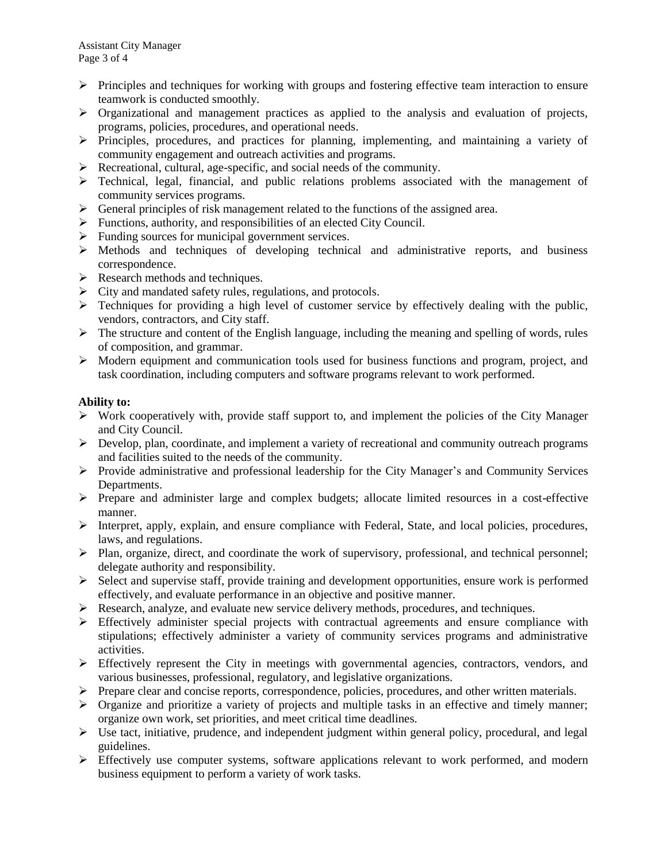- $\triangleright$  Principles and techniques for working with groups and fostering effective team interaction to ensure teamwork is conducted smoothly.
- $\triangleright$  Organizational and management practices as applied to the analysis and evaluation of projects, programs, policies, procedures, and operational needs.
- $\triangleright$  Principles, procedures, and practices for planning, implementing, and maintaining a variety of community engagement and outreach activities and programs.
- Recreational, cultural, age-specific, and social needs of the community.
- Technical, legal, financial, and public relations problems associated with the management of community services programs.
- $\triangleright$  General principles of risk management related to the functions of the assigned area.
- $\triangleright$  Functions, authority, and responsibilities of an elected City Council.
- $\triangleright$  Funding sources for municipal government services.
- $\triangleright$  Methods and techniques of developing technical and administrative reports, and business correspondence.
- $\triangleright$  Research methods and techniques.
- $\triangleright$  City and mandated safety rules, regulations, and protocols.
- $\triangleright$  Techniques for providing a high level of customer service by effectively dealing with the public. vendors, contractors, and City staff.
- $\triangleright$  The structure and content of the English language, including the meaning and spelling of words, rules of composition, and grammar.
- Modern equipment and communication tools used for business functions and program, project, and task coordination, including computers and software programs relevant to work performed.

## **Ability to:**

- $\triangleright$  Work cooperatively with, provide staff support to, and implement the policies of the City Manager and City Council.
- $\triangleright$  Develop, plan, coordinate, and implement a variety of recreational and community outreach programs and facilities suited to the needs of the community.
- Provide administrative and professional leadership for the City Manager's and Community Services Departments.
- $\triangleright$  Prepare and administer large and complex budgets; allocate limited resources in a cost-effective manner.
- $\triangleright$  Interpret, apply, explain, and ensure compliance with Federal, State, and local policies, procedures, laws, and regulations.
- $\triangleright$  Plan, organize, direct, and coordinate the work of supervisory, professional, and technical personnel; delegate authority and responsibility.
- $\triangleright$  Select and supervise staff, provide training and development opportunities, ensure work is performed effectively, and evaluate performance in an objective and positive manner.
- $\triangleright$  Research, analyze, and evaluate new service delivery methods, procedures, and techniques.
- $\triangleright$  Effectively administer special projects with contractual agreements and ensure compliance with stipulations; effectively administer a variety of community services programs and administrative activities.
- $\triangleright$  Effectively represent the City in meetings with governmental agencies, contractors, vendors, and various businesses, professional, regulatory, and legislative organizations.
- Prepare clear and concise reports, correspondence, policies, procedures, and other written materials.
- $\triangleright$  Organize and prioritize a variety of projects and multiple tasks in an effective and timely manner; organize own work, set priorities, and meet critical time deadlines.
- $\triangleright$  Use tact, initiative, prudence, and independent judgment within general policy, procedural, and legal guidelines.
- Effectively use computer systems, software applications relevant to work performed, and modern business equipment to perform a variety of work tasks.